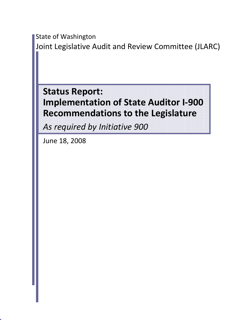State of Washington Joint Legislative Audit and Review Committee (JLARC)

# **Status Report: Implementation of State Auditor I‐900 Recommendations to the Legislature**

*As required by Initiative 900*

June 18, 2008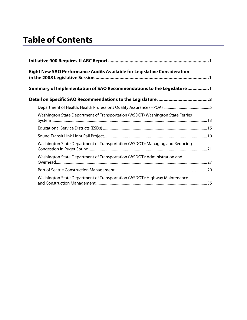# **Table of Contents**

| Eight New SAO Performance Audits Available for Legislative Consideration       |  |  |  |  |  |
|--------------------------------------------------------------------------------|--|--|--|--|--|
| Summary of Implementation of SAO Recommendations to the Legislature1           |  |  |  |  |  |
|                                                                                |  |  |  |  |  |
|                                                                                |  |  |  |  |  |
| Washington State Department of Transportation (WSDOT) Washington State Ferries |  |  |  |  |  |
|                                                                                |  |  |  |  |  |
|                                                                                |  |  |  |  |  |
| Washington State Department of Transportation (WSDOT): Managing and Reducing   |  |  |  |  |  |
| Washington State Department of Transportation (WSDOT): Administration and      |  |  |  |  |  |
|                                                                                |  |  |  |  |  |
| Washington State Department of Transportation (WSDOT): Highway Maintenance     |  |  |  |  |  |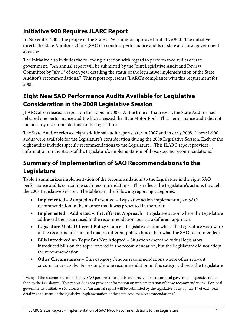## **Initiative 900 Requires JLARC Report**

In November 2005, the people of the State of Washington approved Initiative 900. The initiative directs the State Auditor's Office (SAO) to conduct performance audits of state and local government agencies.

The initiative also includes the following direction with regard to performance audits of state government: "An annual report will be submitted by the Joint Legislative Audit and Review Committee by July 1<sup>st</sup> of each year detailing the status of the legislative implementation of the State Auditor's recommendations." This report represents JLARC's compliance with this requirement for 2008.

## **Eight New SAO Performance Audits Available for Legislative Consideration in the 2008 Legislative Session**

JLARC also released a report on this topic in 2007. At the time of that report, the State Auditor had released one performance audit, which assessed the State Motor Pool. That performance audit did not include any recommendations to the Legislature.

The State Auditor released eight additional audit reports later in 2007 and in early 2008. These I-900 audits were available for the Legislature's consideration during the 2008 Legislative Session. Each of the eight audits includes specific recommendations to the Legislature. This JLARC report provides information on the status of the Legislature's implementation of those specific recommendations.<sup>1</sup>

## **Summary of Implementation of SAO Recommendations to the Legislature**

Table 1 summarizes implementation of the recommendations to the Legislature in the eight SAO performance audits containing such recommendations. This reflects the Legislature's actions through the 2008 Legislative Session. The table uses the following reporting categories:

- **Implemented Adopted As Presented** Legislative action implementing an SAO recommendation in the manner that it was presented in the audit;
- **Implemented Addressed with Different Approach** Legislative action where the Legislature addressed the issue raised in the recommendation, but via a different approach;
- **Legislature Made Different Policy Choice** Legislative action where the Legislature was aware of the recommendation and made a different policy choice than what the SAO recommended;
- **Bills Introduced on Topic But Not Adopted** Situation where individual legislators introduced bills on the topic covered in the recommendation, but the Legislature did not adopt the recommendation;
- **Other Circumstances** This category denotes recommendations where other relevant circumstances apply. For example, one recommendation in this category directs the Legislature

 $\overline{a}$ 

<sup>&</sup>lt;sup>1</sup> Many of the recommendations in the SAO performance audits are directed to state or local government agencies rather than to the Legislature. This report does not provide information on implementation of those recommendations. For local governments, Initiative 900 directs that "an annual report will be submitted by the legislative body by July 1<sup>st</sup> of each year detailing the status of the legislative implementation of the State Auditor's recommendations."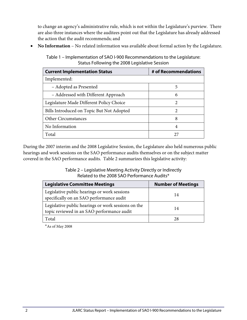to change an agency's administrative rule, which is not within the Legislature's purview. There are also three instances where the auditees point out that the Legislature has already addressed the action that the audit recommends; and

• **No Information** – No related information was available about formal action by the Legislature.

Table 1 – Implementation of SAO I-900 Recommendations to the Legislature: Status Following the 2008 Legislative Session

| <b>Current Implementation Status</b>      | # of Recommendations  |
|-------------------------------------------|-----------------------|
| Implemented:                              |                       |
| - Adopted as Presented                    | 5                     |
| - Addressed with Different Approach       | 6                     |
| Legislature Made Different Policy Choice  | 2                     |
| Bills Introduced on Topic But Not Adopted | $\mathcal{D}_{\cdot}$ |
| Other Circumstances                       | 8                     |
| No Information                            | 4                     |
| Total                                     | 27                    |

During the 2007 interim and the 2008 Legislative Session, the Legislature also held numerous public hearings and work sessions on the SAO performance audits themselves or on the subject matter covered in the SAO performance audits. Table 2 summarizes this legislative activity:

> Table 2 – Legislative Meeting Activity Directly or Indirectly Related to the 2008 SAO Performance Audits\*

| <b>Legislative Committee Meetings</b>                                                             | <b>Number of Meetings</b> |
|---------------------------------------------------------------------------------------------------|---------------------------|
| Legislative public hearings or work sessions<br>specifically on an SAO performance audit          | 14                        |
| Legislative public hearings or work sessions on the<br>topic reviewed in an SAO performance audit | 14                        |
| Total                                                                                             | 28                        |

\*As of May 2008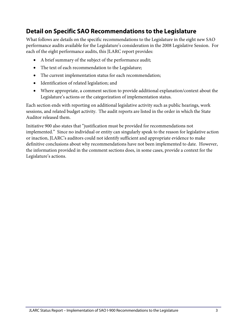## **Detail on Specific SAO Recommendations to the Legislature**

What follows are details on the specific recommendations to the Legislature in the eight new SAO performance audits available for the Legislature's consideration in the 2008 Legislative Session. For each of the eight performance audits, this JLARC report provides:

- A brief summary of the subject of the performance audit;
- The text of each recommendation to the Legislature;
- The current implementation status for each recommendation;
- Identification of related legislation; and
- Where appropriate, a comment section to provide additional explanation/context about the Legislature's actions or the categorization of implementation status.

Each section ends with reporting on additional legislative activity such as public hearings, work sessions, and related budget activity. The audit reports are listed in the order in which the State Auditor released them.

Initiative 900 also states that "justification must be provided for recommendations not implemented." Since no individual or entity can singularly speak to the reason for legislative action or inaction, JLARC's auditors could not identify sufficient and appropriate evidence to make definitive conclusions about why recommendations have not been implemented to date. However, the information provided in the comment sections does, in some cases, provide a context for the Legislature's actions.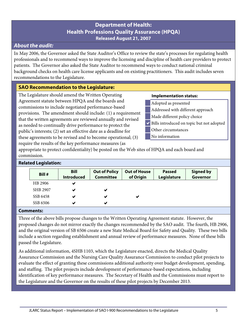## **About the audit:**

In May 2006, the Governor asked the State Auditor's Office to review the state's processes for regulating health professionals and to recommend ways to improve the licensing and discipline of health care providers to protect patients. The Governor also asked the State Auditor to recommend ways to conduct national criminal background checks on health care license applicants and on existing practitioners. This audit includes seven recommendations to the Legislature.

## **SAO Recommendation to the Legislature:**

The Legislature should amend the Written Operating Agreement statute between HPQA and the boards and commissions to include negotiated performance-based provisions. The amendment should include: (1) a requirement that the written agreements are reviewed annually and revised as needed to continually drive performance to protect the public's interests; (2) set an effective date as a deadline for these agreements to be revised and to become operational; (3) require the results of the key performance measures (as

#### **Implementation status:**

- Adopted as presented
- Addressed with different approach
- Made different policy choice
- $\vee$  Bills introduced on topic but not adopted
- Other circumstances
- No information

appropriate to protect confidentiality) be posted on the Web sites of HPQA and each board and commission.

#### **Related Legislation:**

| Bill #   | <b>Bill</b><br><b>Introduced</b> | <b>Out of Policy</b><br><b>Committee</b> | <b>Out of House</b><br>of Origin | <b>Passed</b><br>Legislature | Signed by<br>Governor |
|----------|----------------------------------|------------------------------------------|----------------------------------|------------------------------|-----------------------|
| HB 2906  | ✔                                |                                          |                                  |                              |                       |
| SHB 2907 | ✔                                | ✔                                        |                                  |                              |                       |
| SSB 6458 | ✔                                |                                          | ✔                                |                              |                       |
| SSB 6506 | ✔                                | ✔                                        |                                  |                              |                       |

#### **Comments:**

Three of the above bills propose changes to the Written Operating Agreement statute. However, the proposed changes do not mirror exactly the changes recommended by the SAO audit. The fourth, HB 2906, and the original version of SB 6506 create a new State Medical Board for Safety and Quality. These two bills include a section regarding establishment and annual review of performance measures. None of these bills passed the Legislature.

As additional information, 4SHB 1103, which the Legislature enacted, directs the Medical Quality Assurance Commission and the Nursing Care Quality Assurance Commission to conduct pilot projects to evaluate the effect of granting these commissions additional authority over budget development, spending, and staffing. The pilot projects include development of performance-based expectations, including identification of key performance measures. The Secretary of Health and the Commissions must report to the Legislature and the Governor on the results of these pilot projects by December 2013.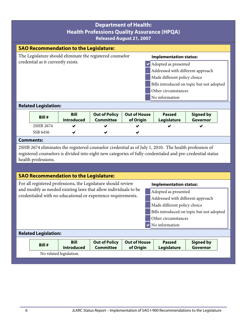| <b>Department of Health:</b><br><b>Health Professions Quality Assurance (HPQA)</b><br><b>Released August 21, 2007</b> |                                    |                                                                 |                                          |                                  |                                                                                                       |                                                                                                            |  |  |
|-----------------------------------------------------------------------------------------------------------------------|------------------------------------|-----------------------------------------------------------------|------------------------------------------|----------------------------------|-------------------------------------------------------------------------------------------------------|------------------------------------------------------------------------------------------------------------|--|--|
|                                                                                                                       |                                    | <b>SAO Recommendation to the Legislature:</b>                   |                                          |                                  |                                                                                                       |                                                                                                            |  |  |
|                                                                                                                       |                                    | The Legislature should eliminate the registered counselor       |                                          |                                  | <b>Implementation status:</b>                                                                         |                                                                                                            |  |  |
|                                                                                                                       | credential as it currently exists. |                                                                 |                                          |                                  | Adopted as presented                                                                                  |                                                                                                            |  |  |
|                                                                                                                       |                                    |                                                                 |                                          |                                  | Addressed with different approach                                                                     |                                                                                                            |  |  |
|                                                                                                                       |                                    |                                                                 |                                          |                                  | Made different policy choice                                                                          |                                                                                                            |  |  |
|                                                                                                                       |                                    |                                                                 |                                          |                                  |                                                                                                       | Bills introduced on topic but not adopted                                                                  |  |  |
|                                                                                                                       |                                    |                                                                 |                                          |                                  | Other circumstances                                                                                   |                                                                                                            |  |  |
|                                                                                                                       |                                    |                                                                 |                                          |                                  | No information                                                                                        |                                                                                                            |  |  |
|                                                                                                                       | <b>Related Legislation:</b>        |                                                                 |                                          |                                  |                                                                                                       |                                                                                                            |  |  |
|                                                                                                                       | Bill #                             | <b>Bill</b><br><b>Introduced</b>                                | <b>Out of Policy</b><br><b>Committee</b> | <b>Out of House</b><br>of Origin | <b>Passed</b><br>Legislature                                                                          | <b>Signed by</b><br>Governor                                                                               |  |  |
|                                                                                                                       | 2SHB 2674                          |                                                                 |                                          |                                  |                                                                                                       |                                                                                                            |  |  |
|                                                                                                                       | SSB 6456                           |                                                                 |                                          |                                  |                                                                                                       |                                                                                                            |  |  |
|                                                                                                                       | <b>Comments:</b>                   |                                                                 |                                          |                                  |                                                                                                       |                                                                                                            |  |  |
|                                                                                                                       | health professions.                |                                                                 |                                          |                                  | 2SHB 2674 eliminates the registered counselor credential as of July 1, 2010. The health profession of | registered counselors is divided into eight new categories of fully-credentialed and pre-credential status |  |  |
|                                                                                                                       |                                    | <b>SAO Recommendation to the Legislature:</b>                   |                                          |                                  |                                                                                                       |                                                                                                            |  |  |
|                                                                                                                       |                                    | For all registered professions, the Legislature should review   |                                          |                                  | <b>Implementation status:</b>                                                                         |                                                                                                            |  |  |
|                                                                                                                       |                                    | and modify as needed existing laws that allow individuals to be |                                          |                                  | Adopted as presented                                                                                  |                                                                                                            |  |  |
|                                                                                                                       |                                    | credentialed with no educational or experience requirements.    |                                          |                                  | Addressed with different approach                                                                     |                                                                                                            |  |  |
|                                                                                                                       |                                    |                                                                 |                                          |                                  | Made different policy choice                                                                          |                                                                                                            |  |  |
| Bills introduced on topic but not adopted                                                                             |                                    |                                                                 |                                          |                                  |                                                                                                       |                                                                                                            |  |  |
| Other circumstances                                                                                                   |                                    |                                                                 |                                          |                                  |                                                                                                       |                                                                                                            |  |  |
| No information                                                                                                        |                                    |                                                                 |                                          |                                  |                                                                                                       |                                                                                                            |  |  |
|                                                                                                                       | <b>Related Legislation:</b>        |                                                                 |                                          |                                  |                                                                                                       |                                                                                                            |  |  |
|                                                                                                                       |                                    | <b>Bill</b>                                                     | <b>Out of Policy</b>                     | <b>Out of House</b>              | <b>Passed</b>                                                                                         | <b>Signed by</b>                                                                                           |  |  |
|                                                                                                                       | Bill #                             | <b>Introduced</b>                                               | <b>Committee</b>                         | of Origin                        | Legislature                                                                                           | Governor                                                                                                   |  |  |
|                                                                                                                       | No related legislation.            |                                                                 |                                          |                                  |                                                                                                       |                                                                                                            |  |  |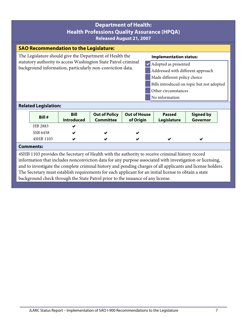#### **Department of Health: Health Professions Quality Assurance (HPQA) Released August 21, 2007 SAO Recommendation to the Legislature:**  The Legislature should give the Department of Health the statutory authority to access Washington State Patrol criminal background information, particularly non-conviction data. **Implementation status:**  $\vee$  Adopted as presented Addressed with different approach Made different policy choice Bills introduced on topic but not adopted Other circumstances No information **Related Legislation: Bill # Bill Introduced Out of Policy Committee Out of House of Origin Passed Legislature Signed by Governor**  HB 2883  $SSB 6458$ 4SHB 1103  $\vee$   $\vee$   $\vee$   $\vee$   $\vee$   $\vee$

#### **Comments:**

4SHB 1103 provides the Secretary of Health with the authority to receive criminal history record information that includes nonconviction data for any purpose associated with investigation or licensing, and to investigate the complete criminal history and pending charges of all applicants and license holders. The Secretary must establish requirements for each applicant for an initial license to obtain a state background check through the State Patrol prior to the issuance of any license.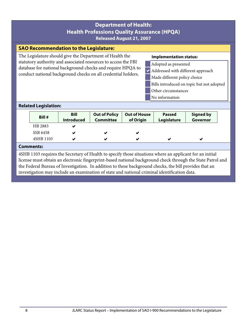## **SAO Recommendation to the Legislature:**

The Legislature should give the Department of Health the statutory authority and associated resources to access the FBI database for national background checks and require HPQA to conduct national background checks on all credential holders.

#### **Implementation status:**

- Adopted as presented
- $\vee$  Addressed with different approach
- Made different policy choice
- Bills introduced on topic but not adopted
- Other circumstances
- No information

#### **Related Legislation:**

| Bill #    | <b>Bill</b><br><b>Introduced</b> | <b>Out of Policy</b><br><b>Committee</b> | <b>Out of House</b><br>of Origin | <b>Passed</b><br>Legislature | <b>Signed by</b><br>Governor |
|-----------|----------------------------------|------------------------------------------|----------------------------------|------------------------------|------------------------------|
| HB 2883   | ⊷                                |                                          |                                  |                              |                              |
| SSB 6458  | ◡                                | v                                        |                                  |                              |                              |
| 4SHB 1103 | ✔                                | ✔                                        | $\overline{\phantom{a}}$         | ✔                            | v                            |
| mmante•   |                                  |                                          |                                  |                              |                              |

## **Comn**

4SHB 1103 requires the Secretary of Health to specify those situations where an applicant for an initial license must obtain an electronic fingerprint-based national background check through the State Patrol and the Federal Bureau of Investigation. In addition to these background checks, the bill provides that an investigation may include an examination of state and national criminal identification data.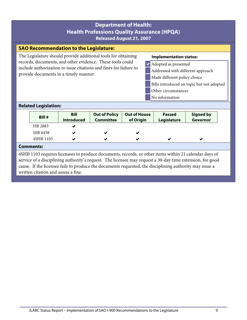#### **SAO Recommendation to the Legislature:**  The Legislature should provide additional tools for obtaining records, documents, and other evidence. These tools could include authorization to issue citations and fines for failure to provide documents in a timely manner. **Implementation status:** Adopted as presented Addressed with different approach Made different policy choice Bills introduced on topic but not adopted Other circumstances No information **Related Legislation: Bill # Bill Introduced Out of Policy Committee Out of House of Origin Passed Legislature Signed by Governor**  HB 2883  $SSB 6458$ 4SHB 1103  $\vee$   $\vee$   $\vee$   $\vee$   $\vee$   $\vee$ **Comments:**  4SHB 1103 requires licensees to produce documents, records, or other items within 21 calendar days of

service of a disciplining authority's request. The licensee may request a 30-day time extension, for good cause. If the licensee fails to produce the documents requested, the disciplining authority may issue a written citation and assess a fine.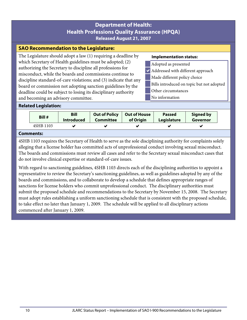## **SAO Recommendation to the Legislature:**

The Legislature should adopt a law (1) requiring a deadline by which Secretary of Health guidelines must be adopted; (2) authorizing the Secretary to discipline all professions for misconduct, while the boards and commissions continue to discipline standard-of-care violations; and (3) indicate that any board or commission not adopting sanction guidelines by the deadline could be subject to losing its disciplinary authority and becoming an advisory committee.

#### **Implementation status:**

- Adopted as presented
- Addressed with different approach
- Made different policy choice
- Bills introduced on topic but not adopted
- Other circumstances
- No information

#### **Related Legislation:**

| Bill #    | <b>Bill</b>       | <b>Out of Policy</b> | <b>Out of House</b> | <b>Passed</b>      | <b>Signed by</b> |
|-----------|-------------------|----------------------|---------------------|--------------------|------------------|
|           | <b>Introduced</b> | <b>Committee</b>     | of Origin           | <b>Legislature</b> | Governor         |
| 4SHB 1103 | $\overline{ }$    |                      |                     |                    |                  |

#### **Comments:**

4SHB 1103 requires the Secretary of Health to serve as the sole disciplining authority for complaints solely alleging that a license holder has committed acts of unprofessional conduct involving sexual misconduct. The boards and commissions must review all cases and refer to the Secretary sexual misconduct cases that do not involve clinical expertise or standard-of-care issues.

With regard to sanctioning guidelines, 4SHB 1103 directs each of the disciplining authorities to appoint a representative to review the Secretary's sanctioning guidelines, as well as guidelines adopted by any of the boards and commissions, and to collaborate to develop a schedule that defines appropriate ranges of sanctions for license holders who commit unprofessional conduct. The disciplinary authorities must submit the proposed schedule and recommendations to the Secretary by November 15, 2008. The Secretary must adopt rules establishing a uniform sanctioning schedule that is consistent with the proposed schedule, to take effect no later than January 1, 2009. The schedule will be applied to all disciplinary actions commenced after January 1, 2009.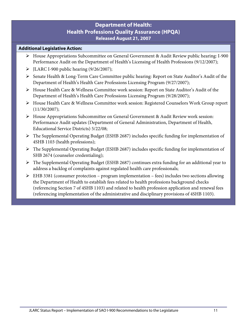- ¾ House Appropriations Subcommittee on General Government & Audit Review public hearing: I-900 Performance Audit on the Department of Health's Licensing of Health Professions (9/12/2007);
- $\blacktriangleright$  JLARC I-900 public hearing (9/26/2007);
- ¾ Senate Health & Long-Term Care Committee public hearing: Report on State Auditor's Audit of the Department of Health's Health Care Professions Licensing Program (9/27/2007);
- ¾ House Health Care & Wellness Committee work session: Report on State Auditor's Audit of the Department of Health's Health Care Professions Licensing Program (9/28/2007);
- ¾ House Health Care & Wellness Committee work session: Registered Counselors Work Group report (11/30/2007);
- ¾ House Appropriations Subcommittee on General Government & Audit Review work session: Performance Audit updates (Department of General Administration, Department of Health, Educational Service Districts) 5/22/08;
- ¾ The Supplemental Operating Budget (ESHB 2687) includes specific funding for implementation of 4SHB 1103 (health professions);
- ¾ The Supplemental Operating Budget (ESHB 2687) includes specific funding for implementation of SHB 2674 (counselor credentialing);
- ¾ The Supplemental Operating Budget (ESHB 2687) continues extra funding for an additional year to address a backlog of complaints against regulated health care professionals;
- $\triangleright$  EHB 3381 (consumer protection program implementation fees) includes two sections allowing the Department of Health to establish fees related to health professions background checks (referencing Section 7 of 4SHB 1103) and related to health profession application and renewal fees (referencing implementation of the administrative and disciplinary provisions of 4SHB 1103).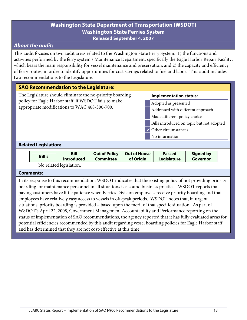## **Washington State Department of Transportation (WSDOT) Washington State Ferries System Released September 4, 2007**

## **About the audit:**

This audit focuses on two audit areas related to the Washington State Ferry System: 1) the functions and activities performed by the ferry system's Maintenance Department, specifically the Eagle Harbor Repair Facility, which bears the main responsibility for vessel maintenance and preservation; and 2) the capacity and efficiency of ferry routes, in order to identify opportunities for cost savings related to fuel and labor. This audit includes two recommendations to the Legislature.

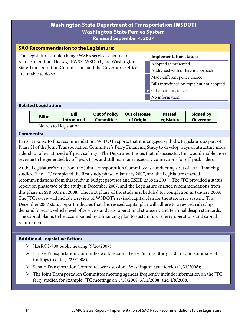## **Washington State Department of Transportation (WSDOT) Washington State Ferries System Released September 4, 2007**

| <b>SAO Recommendation to the Legislature:</b>                                                                                                  |                                           |
|------------------------------------------------------------------------------------------------------------------------------------------------|-------------------------------------------|
| The Legislature should change WSF's service schedule to                                                                                        | <b>Implementation status:</b>             |
| reduce operational losses, if WSF, WSDOT, the Washington<br>State Transportation Commission, and the Governor's Office<br>are unable to do so. | Adopted as presented                      |
|                                                                                                                                                | Addressed with different approach         |
|                                                                                                                                                | Made different policy choice              |
|                                                                                                                                                | Bills introduced on topic but not adopted |
|                                                                                                                                                | Other circumstances                       |
|                                                                                                                                                | No information                            |
|                                                                                                                                                |                                           |

#### **Related Legislation:**

| Bill # | <b>Bill</b>             | <b>Out of Policy</b> | Out of House | <b>Passed</b> | <b>Signed by</b> |
|--------|-------------------------|----------------------|--------------|---------------|------------------|
|        | <b>Introduced</b>       | <b>Committee</b>     | of Origin    | Legislature   | Governor         |
|        | No related legislation. |                      |              |               |                  |

#### **Comments:**

In its response to this recommendation, WSDOT reports that it is engaged with the Legislature as part of Phase II of the Joint Transportation Committee's Ferry Financing Study to develop ways of attracting more ridership to less utilized off-peak sailings. The Department notes that, if successful, this would enable more revenue to be generated by off-peak trips and still maintain necessary connections for off-peak riders.

At the Legislature's direction, the Joint Transportation Committee is conducting a set of ferry financing studies. The JTC completed the first study phase in January 2007, and the Legislature enacted recommendations from this study in budget provisos and ESHB 2358 in 2007. The JTC provided a status report on phase two of the study in December 2007, and the Legislature enacted recommendations from this phase in SSB 6932 in 2008. The next phase of the study is scheduled for completion in January 2009. The JTC review will include a review of WSDOT's revised capital plan for the state ferry system. The December 2007 status report indicates that this revised capital plan will adhere to a revised ridership demand forecast, vehicle level of service standards, operational strategies, and terminal design standards. The capital plan is to be accompanied by a financing plan to sustain future ferry operations and capital requirements.

- $\blacktriangleright$  JLARC I-900 public hearing (9/26/2007);
- ¾ House Transportation Committee work session: Ferry Finance Study Status and summary of findings to date (1/23/2008);
- ¾ Senate Transportation Committee work session: Washington state ferries (1/31/2008);
- $\triangleright$  The Joint Transportation Committee meeting agendas frequently include information on the JTC ferry studies; for example, JTC meetings on 1/10/2008, 3/11/2008, and 4/8/2008.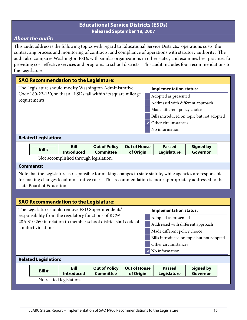## **Educational Service Districts (ESDs) Released September 18, 2007**

## **About the audit:**

This audit addresses the following topics with regard to Educational Service Districts: operations costs; the contracting process and monitoring of contracts; and compliance of operations with statutory authority. The audit also compares Washington ESDs with similar organizations in other states, and examines best practices for providing cost-effective services and programs to school districts. This audit includes four recommendations to the Legislature.

| <b>SAO Recommendation to the Legislature:</b>                                          |                                       |                                                                  |                      |                                  |                                   |                                                                                                                                                                                                                        |  |
|----------------------------------------------------------------------------------------|---------------------------------------|------------------------------------------------------------------|----------------------|----------------------------------|-----------------------------------|------------------------------------------------------------------------------------------------------------------------------------------------------------------------------------------------------------------------|--|
|                                                                                        |                                       | The Legislature should modify Washington Administrative          |                      |                                  | <b>Implementation status:</b>     |                                                                                                                                                                                                                        |  |
|                                                                                        |                                       | Code 180-22-150, so that all ESDs fall within its square mileage |                      | Adopted as presented             |                                   |                                                                                                                                                                                                                        |  |
| requirements.                                                                          |                                       |                                                                  |                      |                                  | Addressed with different approach |                                                                                                                                                                                                                        |  |
|                                                                                        |                                       |                                                                  |                      |                                  | Made different policy choice      |                                                                                                                                                                                                                        |  |
|                                                                                        |                                       |                                                                  |                      |                                  |                                   | Bills introduced on topic but not adopted                                                                                                                                                                              |  |
|                                                                                        |                                       |                                                                  |                      |                                  | Other circumstances               |                                                                                                                                                                                                                        |  |
|                                                                                        |                                       |                                                                  |                      |                                  | No information                    |                                                                                                                                                                                                                        |  |
|                                                                                        | <b>Related Legislation:</b>           |                                                                  |                      |                                  |                                   |                                                                                                                                                                                                                        |  |
| <b>Bill</b><br><b>Out of Policy</b><br>Bill #<br><b>Introduced</b><br><b>Committee</b> |                                       |                                                                  |                      | <b>Out of House</b><br>of Origin | <b>Passed</b><br>Legislature      | <b>Signed by</b><br>Governor                                                                                                                                                                                           |  |
|                                                                                        | Not accomplished through legislation. |                                                                  |                      |                                  |                                   |                                                                                                                                                                                                                        |  |
| <b>Comments:</b>                                                                       |                                       |                                                                  |                      |                                  |                                   |                                                                                                                                                                                                                        |  |
|                                                                                        | state Board of Education.             |                                                                  |                      |                                  |                                   | Note that the Legislature is responsible for making changes to state statute, while agencies are responsible<br>for making changes to administrative rules. This recommendation is more appropriately addressed to the |  |
|                                                                                        |                                       | <b>SAO Recommendation to the Legislature:</b>                    |                      |                                  |                                   |                                                                                                                                                                                                                        |  |
|                                                                                        |                                       | The Legislature should remove ESD Superintendents'               |                      |                                  | <b>Implementation status:</b>     |                                                                                                                                                                                                                        |  |
|                                                                                        |                                       | responsibility from the regulatory functions of RCW              |                      |                                  | Adopted as presented              |                                                                                                                                                                                                                        |  |
|                                                                                        | conduct violations.                   | 28A.310.260 in relation to member school district staff code of  |                      |                                  | Addressed with different approach |                                                                                                                                                                                                                        |  |
|                                                                                        |                                       |                                                                  |                      |                                  | Made different policy choice      |                                                                                                                                                                                                                        |  |
|                                                                                        |                                       |                                                                  |                      |                                  |                                   | Bills introduced on topic but not adopted                                                                                                                                                                              |  |
|                                                                                        |                                       |                                                                  |                      |                                  | Other circumstances               |                                                                                                                                                                                                                        |  |
| No information                                                                         |                                       |                                                                  |                      |                                  |                                   |                                                                                                                                                                                                                        |  |
| <b>Related Legislation:</b>                                                            |                                       |                                                                  |                      |                                  |                                   |                                                                                                                                                                                                                        |  |
|                                                                                        | Bill #                                | <b>Bill</b>                                                      | <b>Out of Policy</b> | <b>Out of House</b>              | <b>Passed</b>                     | <b>Signed by</b>                                                                                                                                                                                                       |  |
|                                                                                        |                                       | <b>Introduced</b>                                                | <b>Committee</b>     | of Origin                        | Legislature                       | Governor                                                                                                                                                                                                               |  |
|                                                                                        |                                       | No related legislation.                                          |                      |                                  |                                   |                                                                                                                                                                                                                        |  |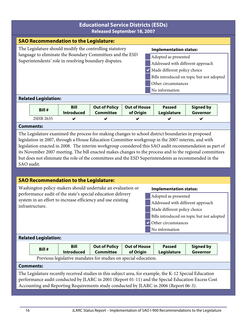#### **Educational Service Districts (ESDs) Released September 18, 2007 SAO Recommendation to the Legislature:**  The Legislature should modify the controlling statutory language to eliminate the Boundary Committees and the ESD Superintendents' role in resolving boundary disputes. **Implementation status:** Adopted as presented Addressed with different approach Made different policy choice Bills introduced on topic but not adopted Other circumstances No information **Related Legislation: Bill # Bill Introduced Out of Policy Committee Out of House of Origin Passed Legislature Signed by Governor**   $2\text{SHB } 2635$   $\checkmark$   $\checkmark$   $\checkmark$   $\checkmark$   $\checkmark$   $\checkmark$   $\checkmark$ **Comments:**  The Legislature examined the process for making changes to school district boundaries in proposed legislation in 2007, through a House Education Committee workgroup in the 2007 interim, and with legislation enacted in 2008. The interim workgroup considered this SAO audit recommendation as part of its November 2007 meeting. The bill enacted makes changes to the process and to the regional committees but does not eliminate the role of the committees and the ESD Superintendents as recommended in the SAO audit. **SAO Recommendation to the Legislature:**  Washington policy-makers should undertake an evaluation or performance audit of the state's special education delivery system in an effort to increase efficiency and use existing **Implementation status:** Adopted as presented

- Made different policy choice
	- Bills introduced on topic but not adopted

Addressed with different approach

- Other circumstances
	- No information

## **Related Legislation:**

| Bill #                                                          | <b>Bill</b>       | <b>Out of Policy</b> | <b>Out of House</b> | <b>Passed</b> | <b>Signed by</b> |  |
|-----------------------------------------------------------------|-------------------|----------------------|---------------------|---------------|------------------|--|
|                                                                 | <b>Introduced</b> | <b>Committee</b>     | of Origin           | Legislature   | Governor         |  |
| Previous legislative mandates for studies on special education. |                   |                      |                     |               |                  |  |

## **Comments:**

infrastructure.

The Legislature recently received studies in this subject area, for example, the K-12 Special Education performance audit conducted by JLARC in 2001 (Report 01-11) and the Special Education Excess Cost Accounting and Reporting Requirements study conducted by JLARC in 2006 (Report 06-3).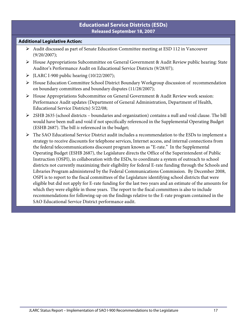## **Educational Service Districts (ESDs) Released September 18, 2007**

- ¾ Audit discussed as part of Senate Education Committee meeting at ESD 112 in Vancouver (9/20/2007);
- ¾ House Appropriations Subcommittee on General Government & Audit Review public hearing: State Auditor's Performance Audit on Educational Service Districts (9/28/07);
- $\blacktriangleright$  JLARC I-900 public hearing (10/22/2007);
- ¾ House Education Committee School District Boundary Workgroup discussion of recommendation on boundary committees and boundary disputes (11/28/2007);
- ¾ House Appropriations Subcommittee on General Government & Audit Review work session: Performance Audit updates (Department of General Administration, Department of Health, Educational Service Districts) 5/22/08;
- ¾ 2SHB 2635 (school districts boundaries and organization) contains a null and void clause. The bill would have been null and void if not specifically referenced in the Supplemental Operating Budget (ESHB 2687). The bill *is* referenced in the budget;
- ¾ The SAO Educational Service District audit includes a recommendation to the ESDs to implement a strategy to receive discounts for telephone services, Internet access, and internal connections from the federal telecommunications discount program known as "E-rate." In the Supplemental Operating Budget (ESHB 2687), the Legislature directs the Office of the Superintendent of Public Instruction (OSPI), in collaboration with the ESDs, to coordinate a system of outreach to school districts not currently maximizing their eligibility for federal E-rate funding through the Schools and Libraries Program administered by the Federal Communications Commission. By December 2008, OSPI is to report to the fiscal committees of the Legislature identifying school districts that were eligible but did not apply for E-rate funding for the last two years and an estimate of the amounts for which they were eligible in those years. The report to the fiscal committees is also to include recommendations for following-up on the findings relative to the E-rate program contained in the SAO Educational Service District performance audit.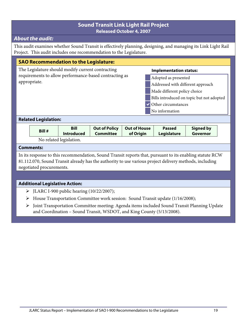## **Sound Transit Link Light Rail Project Released October 4, 2007**

## **About the audit:**

This audit examines whether Sound Transit is effectively planning, designing, and managing its Link Light Rail Project. This audit includes one recommendation to the Legislature.

| <b>SAO Recommendation to the Legislature:</b>                                                                                                                                                                                                  |                                       |                                                   |                                                                       |                                  |                                     |                                                                                             |  |
|------------------------------------------------------------------------------------------------------------------------------------------------------------------------------------------------------------------------------------------------|---------------------------------------|---------------------------------------------------|-----------------------------------------------------------------------|----------------------------------|-------------------------------------|---------------------------------------------------------------------------------------------|--|
|                                                                                                                                                                                                                                                |                                       | The Legislature should modify current contracting |                                                                       | <b>Implementation status:</b>    |                                     |                                                                                             |  |
| requirements to allow performance-based contracting as<br>appropriate.                                                                                                                                                                         |                                       |                                                   |                                                                       |                                  | Adopted as presented                |                                                                                             |  |
|                                                                                                                                                                                                                                                |                                       |                                                   |                                                                       |                                  | Addressed with different approach   |                                                                                             |  |
|                                                                                                                                                                                                                                                |                                       |                                                   |                                                                       |                                  | Made different policy choice        |                                                                                             |  |
|                                                                                                                                                                                                                                                |                                       |                                                   |                                                                       |                                  |                                     | Bills introduced on topic but not adopted                                                   |  |
|                                                                                                                                                                                                                                                |                                       |                                                   |                                                                       |                                  | Other circumstances                 |                                                                                             |  |
|                                                                                                                                                                                                                                                |                                       |                                                   |                                                                       |                                  | No information                      |                                                                                             |  |
|                                                                                                                                                                                                                                                | <b>Related Legislation:</b>           |                                                   |                                                                       |                                  |                                     |                                                                                             |  |
|                                                                                                                                                                                                                                                | Bill #                                | <b>Bill</b><br><b>Introduced</b>                  | <b>Out of Policy</b><br><b>Committee</b>                              | <b>Out of House</b><br>of Origin | <b>Passed</b><br><b>Legislature</b> | <b>Signed by</b><br>Governor                                                                |  |
|                                                                                                                                                                                                                                                |                                       | No related legislation.                           |                                                                       |                                  |                                     |                                                                                             |  |
|                                                                                                                                                                                                                                                | <b>Comments:</b>                      |                                                   |                                                                       |                                  |                                     |                                                                                             |  |
| In its response to this recommendation, Sound Transit reports that, pursuant to its enabling statute RCW<br>81.112.070, Sound Transit already has the authority to use various project delivery methods, including<br>negotiated procurements. |                                       |                                                   |                                                                       |                                  |                                     |                                                                                             |  |
|                                                                                                                                                                                                                                                |                                       |                                                   |                                                                       |                                  |                                     |                                                                                             |  |
|                                                                                                                                                                                                                                                | <b>Additional Legislative Action:</b> |                                                   |                                                                       |                                  |                                     |                                                                                             |  |
| ➤                                                                                                                                                                                                                                              |                                       | JLARC I-900 public hearing (10/22/2007);          |                                                                       |                                  |                                     |                                                                                             |  |
| House Transportation Committee work session: Sound Transit update (1/16/2008);<br>➤                                                                                                                                                            |                                       |                                                   |                                                                       |                                  |                                     |                                                                                             |  |
| ➤                                                                                                                                                                                                                                              |                                       |                                                   | and Coordination - Sound Transit, WSDOT, and King County (5/13/2008). |                                  |                                     | Joint Transportation Committee meeting: Agenda items included Sound Transit Planning Update |  |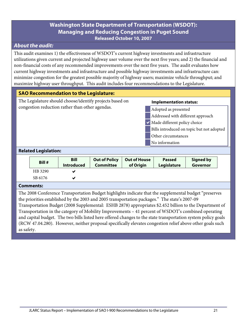## **About the audit:**

This audit examines 1) the effectiveness of WSDOT's current highway investments and infrastructure utilizations given current and projected highway user volume over the next five years; and 2) the financial and non-financial costs of any recommended improvements over the next five years. The audit evaluates how current highway investments and infrastructure and possible highway investments and infrastructure can: minimize congestion for the greatest possible majority of highway users; maximize vehicle throughput; and maximize highway user throughput. This audit includes four recommendations to the Legislature.

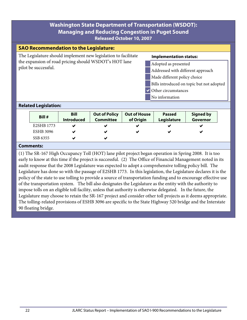| <b>SAO Recommendation to the Legislature:</b>                                 |                                           |
|-------------------------------------------------------------------------------|-------------------------------------------|
| The Legislature should implement new legislation to facilitate                | <b>Implementation status:</b>             |
| the expansion of road pricing should WSDOT's HOT lane<br>pilot be successful. | Adopted as presented                      |
|                                                                               | Addressed with different approach         |
|                                                                               | Made different policy choice              |
|                                                                               | Bills introduced on topic but not adopted |
|                                                                               | Other circumstances                       |
|                                                                               | No information                            |
| <b>Related Legislation:</b>                                                   |                                           |

| Bill #           | <b>Bill</b><br><b>Introduced</b> | <b>Out of Policy</b><br><b>Committee</b> | <b>Out of House</b><br>of Origin | <b>Passed</b><br>Legislature | <b>Signed by</b><br>Governor |
|------------------|----------------------------------|------------------------------------------|----------------------------------|------------------------------|------------------------------|
| E2SHB 1773       | м                                |                                          |                                  | ✔                            | v                            |
| <b>ESHB 3096</b> |                                  |                                          |                                  | ✔                            | v                            |
| SSB 6355         |                                  |                                          |                                  |                              |                              |

#### **Comments:**

(1) The SR-167 High Occupancy Toll (HOT) lane pilot project began operation in Spring 2008. It is too early to know at this time if the project is successful. (2) The Office of Financial Management noted in its audit response that the 2008 Legislature was expected to adopt a comprehensive tolling policy bill. The Legislature has done so with the passage of E2SHB 1773. In this legislation, the Legislature declares it is the policy of the state to use tolling to provide a source of transportation funding and to encourage effective use of the transportation system. The bill also designates the Legislature as the entity with the authority to impose tolls on an eligible toll facility, unless that authority is otherwise delegated. In the future, the Legislature may choose to retain the SR-167 project and consider other toll projects as it deems appropriate. The tolling-related provisions of ESHB 3096 are specific to the State Highway 520 bridge and the Interstate 90 floating bridge.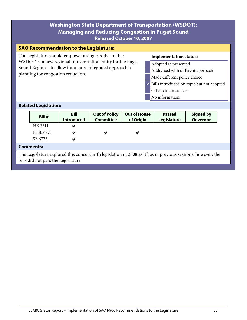| $ncicased$ october 10, 2007                                                                                                                                                                                                                                                                                                                                                                                                                                                |                                                                                                                                                    |                                               |                                          |                                  |                              |                              |  |  |  |
|----------------------------------------------------------------------------------------------------------------------------------------------------------------------------------------------------------------------------------------------------------------------------------------------------------------------------------------------------------------------------------------------------------------------------------------------------------------------------|----------------------------------------------------------------------------------------------------------------------------------------------------|-----------------------------------------------|------------------------------------------|----------------------------------|------------------------------|------------------------------|--|--|--|
|                                                                                                                                                                                                                                                                                                                                                                                                                                                                            |                                                                                                                                                    | <b>SAO Recommendation to the Legislature:</b> |                                          |                                  |                              |                              |  |  |  |
| The Legislature should empower a single body – either<br><b>Implementation status:</b><br>WSDOT or a new regional transportation entity for the Puget<br>Adopted as presented<br>Sound Region – to allow for a more integrated approach to<br>Addressed with different approach<br>planning for congestion reduction.<br>Made different policy choice<br>Bills introduced on topic but not adopted<br>Other circumstances<br>No information<br><b>Related Legislation:</b> |                                                                                                                                                    |                                               |                                          |                                  |                              |                              |  |  |  |
|                                                                                                                                                                                                                                                                                                                                                                                                                                                                            |                                                                                                                                                    |                                               |                                          |                                  |                              |                              |  |  |  |
|                                                                                                                                                                                                                                                                                                                                                                                                                                                                            | <b>Bill</b><br>Bill #                                                                                                                              | <b>Introduced</b>                             | <b>Out of Policy</b><br><b>Committee</b> | <b>Out of House</b><br>of Origin | <b>Passed</b><br>Legislature | <b>Signed by</b><br>Governor |  |  |  |
|                                                                                                                                                                                                                                                                                                                                                                                                                                                                            | HB 3311                                                                                                                                            |                                               |                                          |                                  |                              |                              |  |  |  |
|                                                                                                                                                                                                                                                                                                                                                                                                                                                                            | <b>ESSB 6771</b>                                                                                                                                   |                                               |                                          |                                  |                              |                              |  |  |  |
|                                                                                                                                                                                                                                                                                                                                                                                                                                                                            | SB 6772                                                                                                                                            |                                               |                                          |                                  |                              |                              |  |  |  |
|                                                                                                                                                                                                                                                                                                                                                                                                                                                                            | <b>Comments:</b>                                                                                                                                   |                                               |                                          |                                  |                              |                              |  |  |  |
|                                                                                                                                                                                                                                                                                                                                                                                                                                                                            | The Legislature explored this concept with legislation in 2008 as it has in previous sessions; however, the<br>bills did not pass the Legislature. |                                               |                                          |                                  |                              |                              |  |  |  |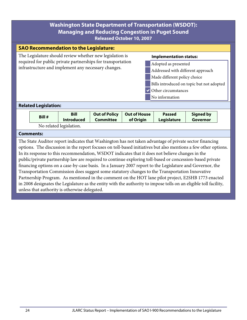## **Washington State Department of Transportation (WSDOT): Managing and Reducing Congestion in Puget Sound Released October 10, 2007 SAO Recommendation to the Legislature:**  The Legislature should review whether new legislation is required for public private partnerships for transportation infrastructure and implement any necessary changes. **Implementation status:** Adopted as presented Addressed with different approach Made different policy choice Bills introduced on topic but not adopted Other circumstances No information **Related Legislation:**

| Bill #                  | Bill              | <b>Out of Policy</b> | Out of House | <b>Passed</b> | <b>Signed by</b> |  |
|-------------------------|-------------------|----------------------|--------------|---------------|------------------|--|
|                         | <b>Introduced</b> | Committee            | of Origin    | Legislature   | Governor         |  |
| No related legislation. |                   |                      |              |               |                  |  |

#### **Comments:**

The State Auditor report indicates that Washington has not taken advantage of private sector financing options. The discussion in the report focuses on toll-based initiatives but also mentions a few other options. In its response to this recommendation, WSDOT indicates that it does not believe changes in the public/private partnership law are required to continue exploring toll-based or concession-based private financing options on a case-by-case basis. In a January 2007 report to the Legislature and Governor, the Transportation Commission does suggest some statutory changes to the Transportation Innovative Partnership Program. As mentioned in the comment on the HOT lane pilot project, E2SHB 1773 enacted in 2008 designates the Legislature as the entity with the authority to impose tolls on an eligible toll facility, unless that authority is otherwise delegated.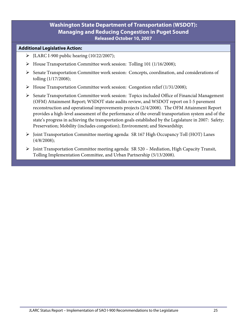- $\blacktriangleright$  JLARC I-900 public hearing (10/22/2007);
- ¾ House Transportation Committee work session: Tolling 101 (1/16/2008);
- ¾ Senate Transportation Committee work session: Concepts, coordination, and considerations of tolling (1/17/2008);
- ¾ House Transportation Committee work session: Congestion relief (1/31/2008);
- ¾ Senate Transportation Committee work session: Topics included Office of Financial Management (OFM) Attainment Report; WSDOT state audits review, and WSDOT report on I-5 pavement reconstruction and operational improvements projects (2/4/2008). The OFM Attainment Report provides a high-level assessment of the performance of the overall transportation system and of the state's progress in achieving the transportation goals established by the Legislature in 2007: Safety; Preservation; Mobility (includes congestion); Environment; and Stewardship;
- ¾ Joint Transportation Committee meeting agenda: SR 167 High Occupancy Toll (HOT) Lanes (4/8/2008);
- ¾ Joint Transportation Committee meeting agenda: SR 520 Mediation, High Capacity Transit, Tolling Implementation Committee, and Urban Partnership (5/13/2008).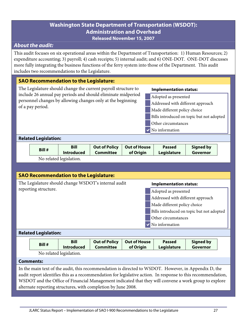## **Washington State Department of Transportation (WSDOT): Administration and Overhead Released November 15, 2007**

## **About the audit:**

This audit focuses on six operational areas within the Department of Transportation: 1) Human Resources; 2) expenditure accounting; 3) payroll; 4) cash receipts; 5) internal audit; and 6) ONE-DOT. ONE-DOT discusses more fully integrating the business functions of the ferry system into those of the Department. This audit includes two recommendations to the Legislature.

#### **SAO Recommendation to the Legislature:**  The Legislature should change the current payroll structure to include 26 annual pay periods and should eliminate midperiod personnel changes by allowing changes only at the beginning of a pay period. **Implementation status:** Adopted as presented Addressed with different approach Made different policy choice Bills introduced on topic but not adopted Other circumstances No information **Related Legislation: Bill # Bill Introduced Out of Policy Committee Out of House of Origin Passed Legislature Signed by Governor**  No related legislation. **SAO Recommendation to the Legislature:**  The Legislature should change WSDOT's internal audit reporting structure. **Implementation status:** Adopted as presented Addressed with different approach Made different policy choice Bills introduced on topic but not adopted Other circumstances No information **Related Legislation: Bill # Bill Introduced Out of Policy Committee Out of House of Origin Passed Legislature Signed by Governor**  No related legislation.

#### **Comments:**

In the main text of the audit, this recommendation is directed to WSDOT. However, in Appendix D, the audit report identifies this as a recommendation for legislative action. In response to this recommendation, WSDOT and the Office of Financial Management indicated that they will convene a work group to explore alternate reporting structures, with completion by June 2008.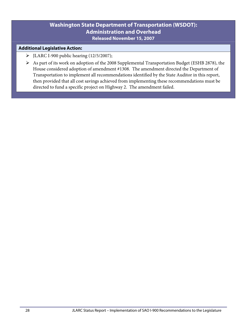## **Washington State Department of Transportation (WSDOT): Administration and Overhead Released November 15, 2007**

- $\blacktriangleright$  JLARC I-900 public hearing (12/5/2007);
- ¾ As part of its work on adoption of the 2008 Supplemental Transportation Budget (ESHB 2878), the House considered adoption of amendment #1308. The amendment directed the Department of Transportation to implement all recommendations identified by the State Auditor in this report, then provided that all cost savings achieved from implementing these recommendations must be directed to fund a specific project on Highway 2. The amendment failed.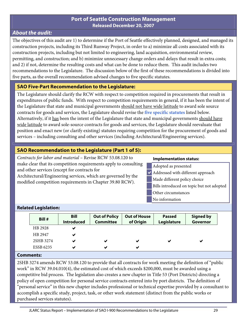## **About the audit:**

The objectives of this audit are 1) to determine if the Port of Seattle effectively planned, designed, and managed its construction projects, including its Third Runway Project, in order to a) minimize all costs associated with its construction projects, including but not limited to engineering, land acquisition, environmental review, permitting, and construction; and b) minimize unnecessary change orders and delays that result in extra costs; and 2) if not, determine the resulting costs and what can be done to reduce them. This audit includes two recommendations to the Legislature. The discussion below of the first of these recommendations is divided into five parts, as the overall recommendation advised changes to five specific statutes.

## **SAO Five-Part Recommendation to the Legislature:**

The Legislature should clarify the RCW with respect to competition required in procurements that result in expenditures of public funds. With respect to competition requirements in general, if it has been the intent of the Legislature that state and municipal governments should not have wide latitude to award sole source contracts for goods and services, the Legislature should revise the **five specific statutes** listed below. Alternatively, if it has been the intent of the Legislature that state and municipal governments should have wide latitude to award sole-source contracts for goods and services, the Legislature should reevaluate that position and enact new (or clarify existing) statutes requiring competition for the procurement of goods and services – including consulting and other services (including Architectural/Engineering services).

## **SAO Recommendation to the Legislature (Part 1 of 5):**

*Contracts for labor and material* – Revise RCW 53.08.120 to make clear that its competition requirements apply to consulting and other services (except for contracts for Architectural/Engineering services, which are governed by the modified competition requirements in Chapter 39.80 RCW).

#### **Implementation status:**

- Adopted as presented
- $\vee$  Addressed with different approach
- Made different policy choice
- Bills introduced on topic but not adopted
- Other circumstances
- No information

| <b>Bill</b><br><b>Introduced</b> | <b>Out of Policy</b><br><b>Committee</b> | <b>Out of House</b><br>of Origin | <b>Passed</b><br>Legislature | <b>Signed by</b><br>Governor |
|----------------------------------|------------------------------------------|----------------------------------|------------------------------|------------------------------|
| ✔                                |                                          |                                  |                              |                              |
| ✔                                |                                          |                                  |                              |                              |
| ✔                                | ✔                                        | ✔                                | ✔                            | ✔                            |
| ✔                                | ✔                                        | ✔                                |                              |                              |
|                                  |                                          |                                  |                              |                              |

#### **Comments:**

2SHB 3274 amends RCW 53.08.120 to provide that all contracts for work meeting the definition of "public work" in RCW 39.04.010(4), the estimated cost of which exceeds \$200,000, must be awarded using a competitive bid process. The legislation also creates a new chapter in Title 53 (Port Districts) directing a policy of open competition for personal service contracts entered into by port districts. The definition of "personal service" in this new chapter includes professional or technical expertise provided by a consultant to accomplish a specific study, project, task, or other work statement (distinct from the public works or purchased services statutes).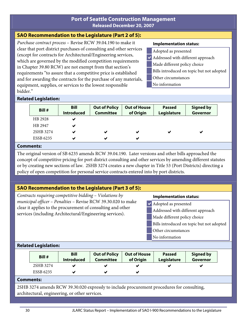## **SAO Recommendation to the Legislature (Part 2 of 5):**

*Purchase contract process* – Revise RCW 39.04.190 to make it clear that port district purchases of consulting and other services (except for contracts for Architectural/Engineering services, which are governed by the modified competition requirements in Chapter 39.80 RCW) are not exempt from that section's requirements "to assure that a competitive price is established and for awarding the contracts for the purchase of any materials, equipment, supplies, or services to the lowest responsible bidder."

#### **Implementation status:**

- Adopted as presented
- $\vee$  Addressed with different approach
	- Made different policy choice
	- Bills introduced on topic but not adopted
	- Other circumstances
	- No information

#### **Related Legislation:**

| <b>Bill</b><br><b>Introduced</b> | <b>Out of Policy</b><br><b>Committee</b> | <b>Out of House</b><br>of Origin | <b>Passed</b><br>Legislature | <b>Signed by</b><br>Governor |
|----------------------------------|------------------------------------------|----------------------------------|------------------------------|------------------------------|
| ✔                                |                                          |                                  |                              |                              |
| ✔                                |                                          |                                  |                              |                              |
| ✔                                | ✔                                        | ✔                                | ✔                            | ✔                            |
| ✔                                | ✔                                        | ✔                                |                              |                              |
|                                  |                                          |                                  |                              |                              |

#### **Comments:**

The original version of SB 6235 amends RCW 39.04.190. Later versions and other bills approached the concept of competitive pricing for port district consulting and other services by amending different statutes or by creating new sections of law. 2SHB 3274 creates a new chapter in Title 53 (Port Districts) directing a policy of open competition for personal service contracts entered into by port districts.

## **SAO Recommendation to the Legislature (Part 3 of 5):**

*Contracts requiring competitive bidding – Violations by municipal officer – Penalties* – Revise RCW 39.30.020 to make clear it applies to the procurement of consulting and other services (including Architectural/Engineering services).

#### **Implementation status:**

- $\vee$  Adopted as presented
- Addressed with different approach
- Made different policy choice
- Bills introduced on topic but not adopted
- Other circumstances
- No information

#### **Related Legislation:**

| Bill #           | <b>Bill</b><br><b>Introduced</b> | <b>Out of Policy</b><br><b>Committee</b> | <b>Out of House</b><br>of Origin | <b>Passed</b><br>Legislature | <b>Signed by</b><br>Governor |
|------------------|----------------------------------|------------------------------------------|----------------------------------|------------------------------|------------------------------|
| 2SHB 3274        |                                  |                                          |                                  |                              |                              |
| <b>ESSB 6235</b> |                                  | ⊷                                        |                                  |                              |                              |

#### **Comments:**

2SHB 3274 amends RCW 39.30.020 expressly to include procurement procedures for consulting, architectural, engineering, or other services.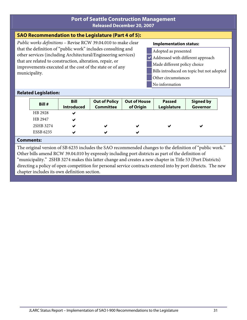## **SAO Recommendation to the Legislature (Part 4 of 5):**

*Public works definitions* – Revise RCW 39.04.010 to make clear that the definition of "public work" includes consulting and other services (including Architectural/Engineering services) that are related to construction, alteration, repair, or improvements executed at the cost of the state or of any municipality.

#### **Implementation status:**

- Adopted as presented
- $\vee$  Addressed with different approach
	- Made different policy choice
	- Bills introduced on topic but not adopted
- Other circumstances
- No information

#### **Related Legislation:**

| Bill #           | <b>Bill</b><br><b>Introduced</b> | <b>Out of Policy</b><br><b>Committee</b> | <b>Out of House</b><br>of Origin | <b>Passed</b><br>Legislature | <b>Signed by</b><br>Governor |
|------------------|----------------------------------|------------------------------------------|----------------------------------|------------------------------|------------------------------|
| HB 2928          | ✔                                |                                          |                                  |                              |                              |
| HB 2947          | ✔                                |                                          |                                  |                              |                              |
| 2SHB 3274        | ✔                                | ✔                                        | ✔                                | ✔                            | ✔                            |
| <b>ESSB 6235</b> | ✔                                | ✔                                        | ✔                                |                              |                              |

#### **Comments:**

The original version of SB 6235 includes the SAO recommended changes to the definition of "public work." Other bills amend RCW 39.04.010 by expressly including port districts as part of the definition of "municipality." 2SHB 3274 makes this latter change and creates a new chapter in Title 53 (Port Districts) directing a policy of open competition for personal service contracts entered into by port districts. The new chapter includes its own definition section.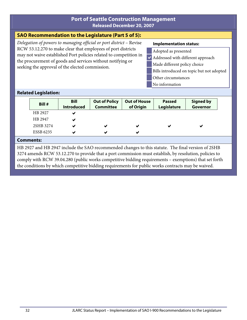## **SAO Recommendation to the Legislature (Part 5 of 5):**

*Delegation of powers to managing official or port district* – Revise RCW 53.12.270 to make clear that employees of port districts may not waive established Port policies related to competition in the procurement of goods and services without notifying or seeking the approval of the elected commission.

#### **Implementation status:**

- Adopted as presented
- $\vee$  Addressed with different approach
	- Made different policy choice
	- Bills introduced on topic but not adopted
	- Other circumstances
	- No information

#### **Related Legislation:**

| Bill #           | <b>Bill</b><br><b>Introduced</b> | <b>Out of Policy</b><br><b>Committee</b> | <b>Out of House</b><br>of Origin | <b>Passed</b><br>Legislature | <b>Signed by</b><br>Governor |
|------------------|----------------------------------|------------------------------------------|----------------------------------|------------------------------|------------------------------|
| HB 2927          | ✔                                |                                          |                                  |                              |                              |
| HB 2947          | ✔                                |                                          |                                  |                              |                              |
| 2SHB 3274        | ✔                                |                                          | ✔                                | v                            | V                            |
| <b>ESSB 6235</b> | ✔                                |                                          | ✔                                |                              |                              |

## **Comments:**

HB 2927 and HB 2947 include the SAO recommended changes to this statute. The final version of 2SHB 3274 amends RCW 53.12.270 to provide that a port commission must establish, by resolution, policies to comply with RCW 39.04.280 (public works competitive bidding requirements – exemptions) that set forth the conditions by which competitive bidding requirements for public works contracts may be waived.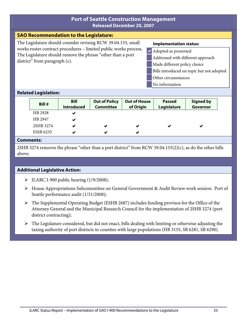## **SAO Recommendation to the Legislature:**

The Legislature should consider revising RCW 39.04.155, small works roster contract procedures – limited public works process. The Legislature should remove the phrase "other than a port district" from paragraph (c).

#### **Implementation status:**

- $\vee$  Adopted as presented
	- Addressed with different approach
	- Made different policy choice
	- Bills introduced on topic but not adopted
	- Other circumstances
	- No information

#### **Related Legislation:**

| Bill #           | <b>Bill</b><br><b>Introduced</b> | <b>Out of Policy</b><br><b>Committee</b> | <b>Out of House</b><br>of Origin | <b>Passed</b><br><b>Legislature</b> | <b>Signed by</b><br>Governor |
|------------------|----------------------------------|------------------------------------------|----------------------------------|-------------------------------------|------------------------------|
| HB 2928          | ✔                                |                                          |                                  |                                     |                              |
| HB 2947          | ✔                                |                                          |                                  |                                     |                              |
| 2SHB 3274        | ✔                                | ✔                                        | ✔                                | ✔                                   | ✔                            |
| <b>ESSB 6235</b> | ✔                                | ✔                                        | ✔                                |                                     |                              |

#### **Comments:**

2SHB 3274 removes the phrase "other than a port district" from RCW 39.04.155(2)(c), as do the other bills above.

- $\blacktriangleright$  JLARC I-900 public hearing (1/9/2008);
- ¾ House Appropriations Subcommittee on General Government & Audit Review work session: Port of Seattle performance audit (1/31/2008);
- $\triangleright$  The Supplemental Operating Budget (ESHB 2687) includes funding provisos for the Office of the Attorney General and the Municipal Research Council for the implementation of 2SHB 3274 (port district contracting);
- $\triangleright$  The Legislature considered, but did not enact, bills dealing with limiting or otherwise adjusting the taxing authority of port districts in counties with large populations (HB 3155, SB 6281, SB 6290).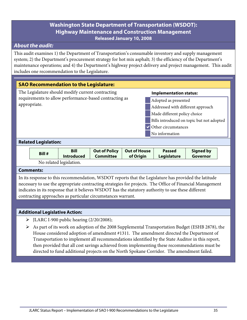## **Washington State Department of Transportation (WSDOT): Highway Maintenance and Construction Management Released January 10, 2008**

## **About the audit:**

This audit examines 1) the Department of Transportation's consumable inventory and supply management system; 2) the Department's procurement strategy for hot mix asphalt; 3) the efficiency of the Department's maintenance operations; and 4) the Department's highway project delivery and project management. This audit includes one recommendation to the Legislature.

|                             | <b>SAO Recommendation to the Legislature:</b>          |                                          |                                  |                                           |                              |  |  |  |
|-----------------------------|--------------------------------------------------------|------------------------------------------|----------------------------------|-------------------------------------------|------------------------------|--|--|--|
|                             | The Legislature should modify current contracting      |                                          |                                  | <b>Implementation status:</b>             |                              |  |  |  |
|                             | requirements to allow performance-based contracting as |                                          |                                  | Adopted as presented                      |                              |  |  |  |
| appropriate.                |                                                        |                                          |                                  | Addressed with different approach         |                              |  |  |  |
|                             |                                                        |                                          |                                  | Made different policy choice              |                              |  |  |  |
|                             |                                                        |                                          |                                  | Bills introduced on topic but not adopted |                              |  |  |  |
|                             |                                                        |                                          |                                  | Other circumstances                       |                              |  |  |  |
|                             |                                                        |                                          |                                  | No information                            |                              |  |  |  |
| <b>Related Legislation:</b> |                                                        |                                          |                                  |                                           |                              |  |  |  |
| Bill #                      | <b>Bill</b><br><b>Introduced</b>                       | <b>Out of Policy</b><br><b>Committee</b> | <b>Out of House</b><br>of Origin | <b>Passed</b><br>Legislature              | <b>Signed by</b><br>Governor |  |  |  |

No related legislation.

#### **Comments:**

In its response to this recommendation, WSDOT reports that the Legislature has provided the latitude necessary to use the appropriate contracting strategies for projects. The Office of Financial Management indicates in its response that it believes WSDOT has the statutory authority to use these different contracting approaches as particular circumstances warrant.

- $\blacktriangleright$  JLARC I-900 public hearing (2/20/2008);
- $\triangleright$  As part of its work on adoption of the 2008 Supplemental Transportation Budget (ESHB 2878), the House considered adoption of amendment #1311. The amendment directed the Department of Transportation to implement all recommendations identified by the State Auditor in this report, then provided that all cost savings achieved from implementing these recommendations must be directed to fund additional projects on the North Spokane Corridor. The amendment failed.